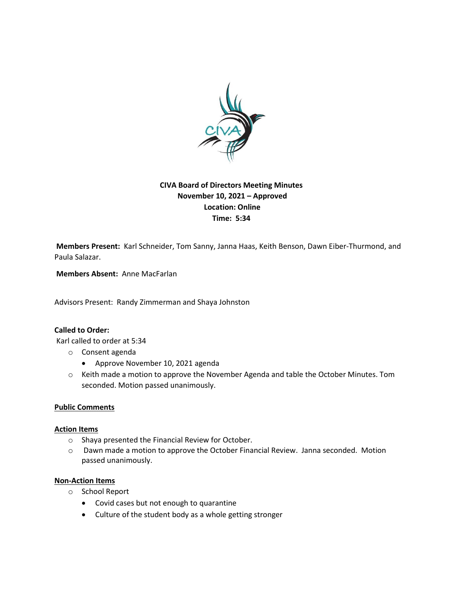

# **CIVA Board of Directors Meeting Minutes November 10, 2021 – Approved Location: Online Time: 5:34**

**Members Present:** Karl Schneider, Tom Sanny, Janna Haas, Keith Benson, Dawn Eiber-Thurmond, and Paula Salazar.

**Members Absent:** Anne MacFarlan

Advisors Present: Randy Zimmerman and Shaya Johnston

## **Called to Order:**

Karl called to order at 5:34

- o Consent agenda
	- Approve November 10, 2021 agenda
- o Keith made a motion to approve the November Agenda and table the October Minutes. Tom seconded. Motion passed unanimously.

## **Public Comments**

### **Action Items**

- o Shaya presented the Financial Review for October.
- o Dawn made a motion to approve the October Financial Review. Janna seconded. Motion passed unanimously.

### **Non-Action Items**

- o School Report
	- Covid cases but not enough to quarantine
	- Culture of the student body as a whole getting stronger